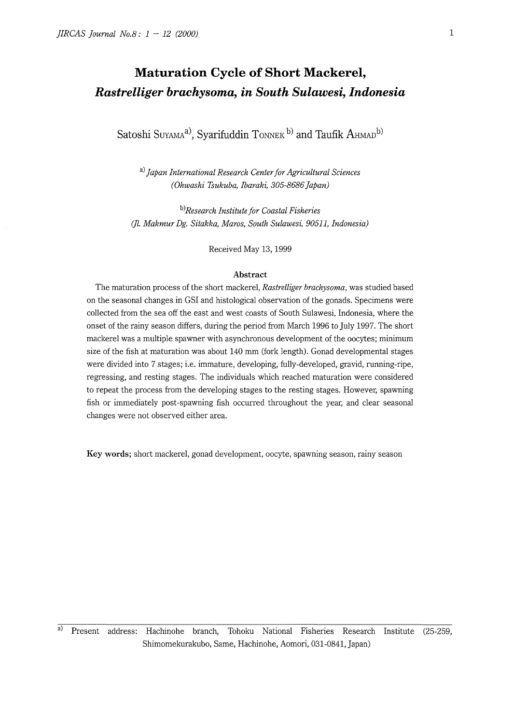# **Maturation Cycle of Short Mackerel,**  *Rastrelliger brachysoma, in South Sulawesi, Indonesia*

Satoshi Suyama<sup>a</sup>, Syarifuddin Tonnek b) and Taufik AHMAD<sup>b)</sup>

a) *japan International Research Center for Agricultural Sciences (Ohwashi Tsukuba, Ibaraki, 305-8686 Japan)* 

b) *Research Institute for Coastal Fisheries*  (fl. *Makmur Dg. Sitakka, Maras, South Sulawesi, 90511, Indonesia)* 

Received May 13, 1999

### **Abstract**

The maturation process of the short mackerel, *Rastrelliger brachysoma,* was studied based on the seasonal changes in GSI and histological observation of the gonads. Specimens were collected from the sea off the east and west coasts of South Sulawesi, Indonesia, where the onset of the rainy season differs, during the period from March 1996 to July 1997. The short mackerel was a multiple spawner with asynchronous development of the oocytes; minimum size of the fish at maturation was about 140 mm (fork length). Gonad developmental stages were divided into 7 stages; i.e. immature, developing, fully-developed, gravid, running-ripe, regressing, and resting stages. The individuals which reached maturation were considered to repeat the process from the developing stages to the resting stages. However, spawning fish or immediately post-spawning fish occurred throughout the year, and clear seasonal changes were not observed either area.

**Key words;** short mackerel, gonad development, oocyte, spawning season, rainy season

a) Present address: Hachinohe branch, Tohoku National Fisheries Research Institute (25-259, Shimomekurakubo, Same, Hachinohe, Aomori, 031-0841, Japan)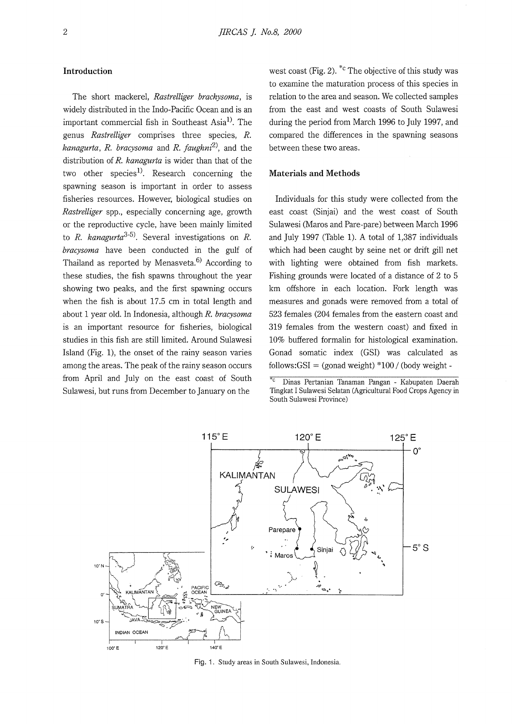# **Introduction**

The short mackerel, *Rastrelliger brachysoma,* is widely distributed in the Indo-Pacific Ocean and is an important commercial fish in Southeast Asia<sup>1)</sup>. The genus *Rastrelliger* comprises three species, *R. kanagurta, R. bracysoma* and *R. faughni2),* and the distribution of *R. kanagurta* is wider than that of the two other species<sup>1)</sup>. Research concerning the spawning season is important in order to assess fisheries resources. However, biological studies on *Rastrelliger* spp., especially concerning age, growth or the reproductive cycle, have been mainly limited to *R. kanagurta3- 5).* Several investigations on *R. bracysoma* have been conducted in the gulf of Thailand as reported by Menasveta. $6$  According to these studies, the fish spawns throughout the year showing two peaks, and the first spawning occurs when the fish is about 17.5 cm in total length and about 1 year old. In Indonesia, although *R. bracysoma*  is an important resource for fisheries, biological studies in this fish are still limited. Around Sulawesi Island (Fig. 1), the onset of the rainy season varies among the areas. The peak of the rainy season occurs from April and July on the east coast of South Sulawesi, but runs from December to January on the

west coast (Fig. 2).  $^{\ast}$ c The objective of this study was to examine the maturation process of this species in relation to the area and season. We collected samples from the east and west coasts of South Sulawesi during the period from March 1996 to July 1997, and compared the differences in the spawning seasons between these two areas.

#### **Materials and Methods**

Individuals for this study were collected from the east coast (Sinjai) and the west coast of South Sulawesi (Maros and Pare-pare) between March 1996 and July 1997 (Table 1). A total of 1,387 individuals which had been caught by seine net or drift gill net with lighting were obtained from fish markets. Fishing grounds were located of a distance of 2 to 5 km offshore in each location. Fork length was measures and gonads were removed from a total of 523 females (204 females from the eastern coast and 319 females from the western coast) and fixed in 10% buffered formalin for histological examination. Gonad somatic index (GSI) was calculated as follows:  $GSI = (gonad weight) *100 / (body weight -$ 

<sup>c</sup>Dinas Pertanian Tanaman Pangan - Kabupaten Daerah Tingkat I Sulawesi Selatan (Agricultural Food Crops Agency in South Sulawesi Province)



Fig. 1. Study areas in South Sulawesi, Indonesia.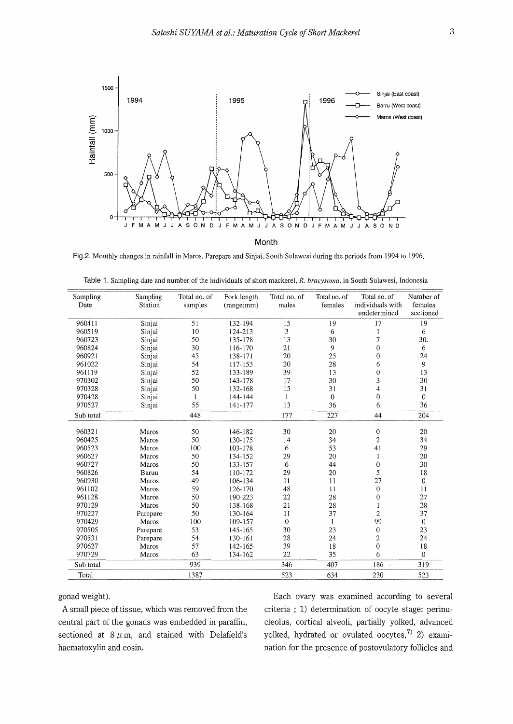

Fig.2. Monthly changes in rainfall in Maros, Parepare and Sinjai, South Sulawesi during the periods from 1994 to 1996.

| Sampling<br>Date | Sampling<br>Station | Total no. of<br>samples | Fork length<br>(range;mm) | Total no. of<br>males | Total no. of<br>females | Total no. of<br>individuals with | Number of<br>females |
|------------------|---------------------|-------------------------|---------------------------|-----------------------|-------------------------|----------------------------------|----------------------|
|                  |                     |                         |                           |                       |                         | undetermined                     | sectioned            |
| 960411           | Sinjai              | 51                      | 132-194                   | 15                    | 19                      | 17                               | 19                   |
| 960519           | Sinjai              | 10                      | 124-213                   | 3                     | 6                       |                                  | 6                    |
| 960723           | Sinjai              | 50                      | 135-178                   | 13                    | 30                      | 7                                | 30.                  |
| 960824           | Sinjai              | 30                      | 116-170                   | 21                    | 9                       | $\overline{0}$                   | 6                    |
| 960921           | Sinjai              | 45                      | 138-171                   | 20                    | 25                      | 0                                | 24                   |
| 961022           | Sinjai              | 54                      | 117-153                   | 20                    | 28                      | 6                                | 9                    |
| 961119           | Sinjai              | 52                      | 133-189                   | 39                    | 13                      | $\overline{0}$                   | 13                   |
| 970302           | Sinjai              | 50                      | 143-178                   | 17                    | 30                      | 3                                | 30                   |
| 970328           | Sinjai              | 50                      | 132-168                   | 15                    | 31                      | 4                                | 31                   |
| 970428           | Sinjai              | 1                       | 144-144                   |                       | $\theta$                | $\overline{0}$                   | $\mathbf{0}$         |
| 970527           | Sinjai              | 55                      | 141-177                   | 13                    | 36                      | 6                                | 36                   |
| Sub total        |                     | 448                     |                           | 177                   | 227                     | 44                               | 204                  |
| 960321           | Maros               | 50                      | 146-182                   | 30                    | 20                      | 0                                | 20                   |
| 960425           | Maros               | 50                      | 130-175                   | 14                    | 34                      | $\overline{c}$                   | 34                   |
| 960523           | Maros               | 100                     | 103-178                   | 6                     | 53                      | 41                               | 29                   |
| 960627           | Maros               | 50                      | 134-152                   | 29                    | 20                      | 1                                | 20                   |
| 960727           | Maros               | 50                      | 133-157                   | 6                     | 44                      | $\mathbf 0$                      | 30                   |
| 960826           | Baruu               | 54                      | 110-172                   | 29                    | 20                      | 5                                | 18                   |
| 960930           | Maros               | 49                      | 106-134                   | 11                    | 11                      | 27                               | $\mathbf{0}$         |
| 961102           | Maros               | 59                      | 126-170                   | 48                    | 11                      | $\bf{0}$                         | 11                   |
| 961128           | Maros               | 50                      | 190-223                   | 22                    | 28                      | $\overline{0}$                   | 27                   |
| 970129           | Maros               | 50                      | 138-168                   | 21                    | 28                      |                                  | 28                   |
| 970227           | Parepare            | 50                      | 130-164                   | 11                    | 37                      | $\overline{2}$                   | 37                   |
| 970429           | Maros               | 100                     | 109-157                   | $\theta$              | $\mathbf{1}$            | 99                               | $\mathbf{0}$         |
| 970505           | Parepare            | 53                      | 145-165                   | 30                    | 23                      | $\boldsymbol{0}$                 | 23                   |
| 970531           | Parepare            | 54                      | 130-161                   | 28                    | 24                      | $\overline{2}$                   | 24                   |
| 970627           | Maros               | 57                      | 142-165                   | 39                    | 18                      | $\mathbf 0$                      | 18                   |
| 970729           | Maros               | 63                      | 134-162                   | 22                    | 35                      | 6                                | $\Omega$             |
| Sub total        |                     | 939                     |                           | 346                   | 407                     | $186 -$                          | 319                  |
|                  |                     |                         |                           |                       |                         |                                  |                      |
| Total            |                     | 1387                    |                           | 523                   | 634                     | 230                              | 523                  |

|  |  | Table 1. Sampling date and number of the individuals of short mackerel, R. bracysoma, in South Sulawesi, Indonesia |  |  |
|--|--|--------------------------------------------------------------------------------------------------------------------|--|--|
|  |  |                                                                                                                    |  |  |

central part of the gonads was embedded in paraffin, cleolus, cortical alveoli, partially yolked, advanced sectioned at  $8 \mu$ m, and stained with Delafield's yolked, hydrated or ovulated oocytes,<sup>7)</sup> 2) examihaematoxylin and eosin. haematoxylin and eosin. The presence of postovulatory follicles and

gonad weight). Each ovary was examined according to several A small piece of tissue, which was removed from the criteria ; 1) determination of oocyte stage: perinu-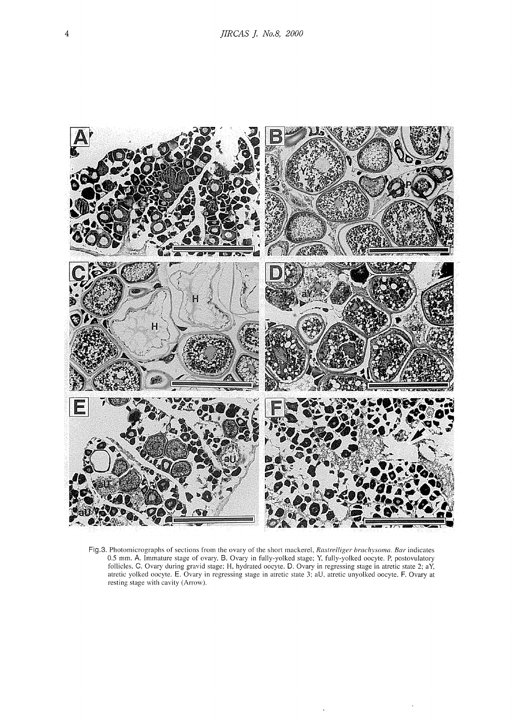

Fig.3. Photomicrographs of sections from the ovary of the short mackerel. *Rastre/liger brachysoma. Bar* indicates 0.5 mm. A. Immature stage of ovary. **B.** Ovary in fully-yolked stage; Y. fully-yolked oocyte. P. postovulatory follicles, C. Ovary during gravid stage; H. hydrated oocyte. D. Ovary in regressing stage in atretic state 2; aY. atretic yolked oocyte. E. Ovary **in** regressing stage in atretic state 3: aU. atretic unyolked oocyte. **F.** Ovary at resting stage with cavity (Arrow).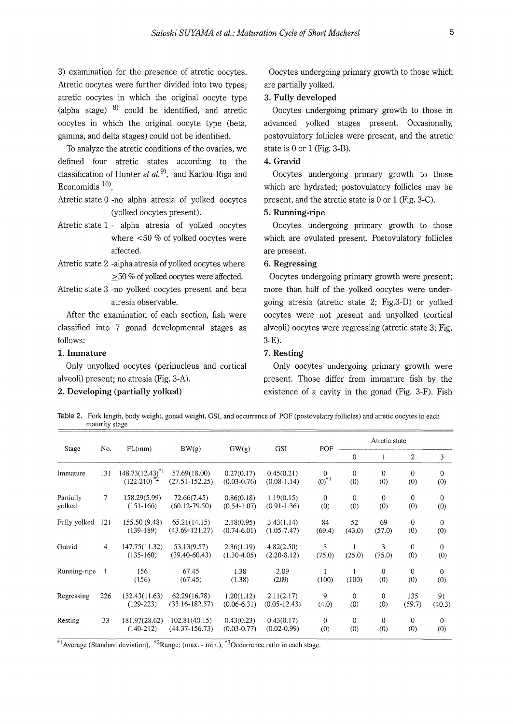3) examination for the presence of atretic oocytes. Atretic oocytes were further divided into two types; atretic oocytes in which the original oocyte type (alpha stage)  $8$ ) could be identified, and atretic oocytes in which the original oocyte type (beta, gamma, and delta stages) could not be identified.

To analyze the atretic conditions of the ovaries, we defined four atretic states according to the classification of Hunter *et al.*<sup>9)</sup>, and Karlou-Riga and Economidis  $10$ .

- Atretic state O -no alpha atresia of yolked oocytes (yolked oocytes present).
- Atretic state 1 alpha atresia of yolked oocytes where <50 % of yolked oocytes were affected.
- Atretic state 2 -alpha atresia of yolked oocytes where  $\geq$  50 % of yolked oocytes were affected.
- Atretic state 3 -no yolked oocytes present and beta atresia observable.

After the examination of each section, fish were classified into 7 gonad developmental stages as follows:

# **1. Immature**

Only unyolked oocytes (perinucleus and cortical alveoli) present; no atresia (Fig. 3-A).

# **2. Developing {partially yolked)**

Oocytes undergoing primary growth to those which are partially yolked.

# **3. Fully developed**

Oocytes undergoing primary growth to those in advanced yolked stages present. Occasionally, postovulatory follicles were present, and the atretic state is O or 1 (Fig. 3-B).

## **4. Gravid**

Oocytes undergoing primary growth to those which are hydrated; postovulatory follicles may be present, and the atretic state is O or 1 (Fig. 3-C).

# **5. Running-ripe**

Oocytes undergoing primary growth to those which are ovulated present. Postovulatory follicles are present.

# **6. Regressing**

Oocytes undergoing primary growth were present; more than half of the yolked oocytes were undergoing atresia (atretic state 2; Fig.3-D) or yolked oocytes were not present and unyolked (cortical alveoli) oocytes were regressing (atretic state 3; Fig. 3-E).

# **7. Resting**

Only oocytes undergoing primary growth were present. Those differ from immature fish by the existence of a cavity in the gonad (Fig. 3-F). Fish

Table 2. Fork length, body weight, gonad weight, GSI, and occurrence of POF (postovulatry follicles) and atretic oocytes in each maturity stage

| Stage               | No.            | FL(mm)                                   | BW(g)                               | GW(g)                         | <b>GSI</b>                     | POF                    | Atretic state       |                     |                       |                       |
|---------------------|----------------|------------------------------------------|-------------------------------------|-------------------------------|--------------------------------|------------------------|---------------------|---------------------|-----------------------|-----------------------|
|                     |                |                                          |                                     |                               |                                |                        | $\mathbf{0}$        | 1                   | $\overline{c}$        | 3                     |
| Immature            | 131            | $148.73(12.43)^{*1}$<br>$(122-210)^{*2}$ | 57.69(18.00)<br>$(27.51 - 152.25)$  | 0.27(0.17)<br>$(0.03 - 0.76)$ | 0.45(0.21)<br>$(0.08-1.14)$    | $\Omega$<br>$(0)^{*3}$ | $\theta$<br>(0)     | $\mathbf{0}$<br>(0) | $\overline{0}$<br>(0) | $\overline{0}$<br>(0) |
| Partially<br>yolked | 7              | 158.29(5.99)<br>$(151-166)$              | 72.66(7.45)<br>$(60.12 - 79.50)$    | 0.86(0.18)<br>$(0.54 - 1.07)$ | 1.19(0.15)<br>$(0.91 - 1.36)$  | $\mathbf{0}$<br>(0)    | $\theta$<br>(0)     | $\mathbf{0}$<br>(0) | $\theta$<br>(0)       | $\theta$<br>(0)       |
| Fully yolked        | 121            | 155.50 (9.48)<br>$(139-189)$             | 65.21(14.15)<br>$(43.69 - 121.27)$  | 2.18(0.95)<br>$(0.74 - 6.01)$ | 3.43(1.14)<br>$(1.05 - 7.47)$  | 84<br>(69.4)           | 52<br>(43.0)        | 69<br>(57.0)        | $\mathbf{0}$<br>(0)   | $\overline{0}$<br>(0) |
| Gravid              | $\overline{4}$ | 147.75(11.32)<br>$(135-160)$             | 53.13(9.57)<br>$(39.40 - 60.43)$    | 2.36(1.19)<br>$(1.30-4.05)$   | 4.82(2.50)<br>$(2.20-8.12)$    | 3<br>(75.0)            | (25.0)              | 3<br>(75.0)         | $\mathbf 0$<br>(0)    | $\overline{0}$<br>(0) |
| Running-ripe        | 1              | 156<br>(156)                             | 67.45<br>(67.45)                    | 1.38<br>(1.38)                | 2.09<br>(2.09)                 | (100)                  | (100)               | $\mathbf{0}$<br>(0) | $\mathbf{0}$<br>(0)   | $\mathbf{0}$<br>(0)   |
| Regressing          | 226            | 152.43(11.63)<br>$(129-223)$             | 62.29(16.78)<br>$(33.16 - 182.57)$  | 1.20(1.12)<br>$(0.06-6.31)$   | 2.11(2.17)<br>$(0.05 - 12.43)$ | 9<br>(4.0)             | $\mathbf{0}$<br>(0) | $\theta$<br>(0)     | 135<br>(59.7)         | 91<br>(40.3)          |
| Resting             | 33             | 181.97(28.62)<br>$(140-212)$             | 102.81(40.15)<br>$(44.37 - 156.73)$ | 0.43(0.23)<br>$(0.03 - 0.77)$ | 0.43(0.17)<br>$(0.02 - 0.99)$  | $\mathbf{0}$<br>(0)    | $\mathbf{0}$<br>(0) | $\mathbf{0}$<br>(0) | $\Omega$<br>(0)       | $\overline{0}$<br>(0) |

<sup>\*1</sup> Average (Standard deviation), <sup>\*2</sup> Range; (max. - min.), <sup>\*3</sup> Occurrence ratio in each stage.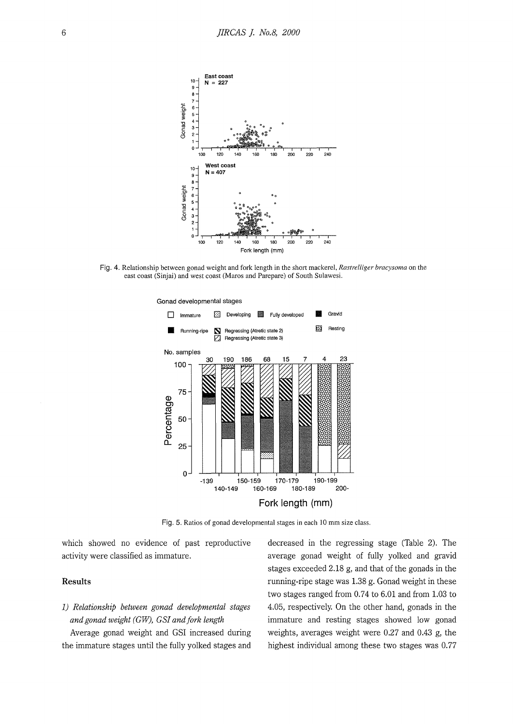![](_page_5_Figure_1.jpeg)

Fig. 4. Relationship between gonad weight and fork length in the short mackerel, *Rastrelliger bracysoma* on the east coast (Sinjai) and west coast (Maros and Parepare) of South Sulawesi.

![](_page_5_Figure_3.jpeg)

Fig. 5. Ratios of gonad developmental stages in each 10 mm size class.

which showed no evidence of past reproductive activity were classified as immature.

## **Results**

# *1) Relationship between gonad developmental stages and gonad weight (GW), GS! and fork length*

Average gonad weight and GSI increased during the immature stages until the fully yolked stages and

decreased in the regressing stage (Table 2). The average gonad weight of fully yolked and gravid stages exceeded 2.18 g, and that of the gonads in the running-ripe stage was 1.38 g. Gonad weight in these two stages ranged from 0.74 to 6.01 and from 1.03 to 4.05, respectively. On the other hand, gonads in the immature and resting stages showed low gonad weights, averages weight were 0.27 and 0.43 g, the highest individual among these two stages was 0.77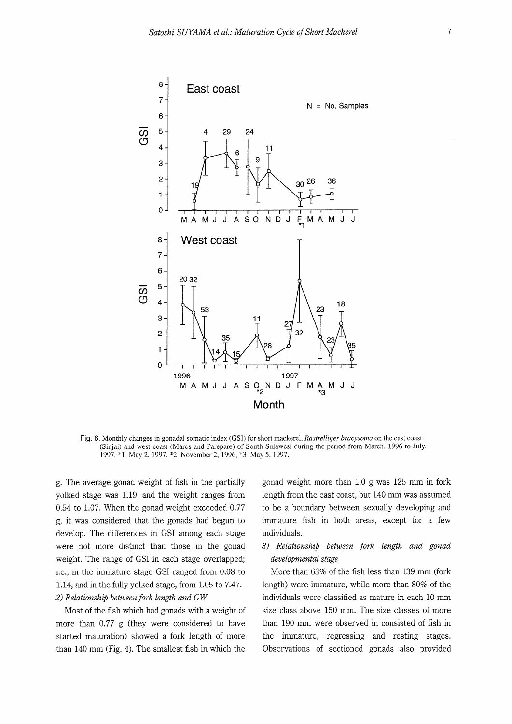![](_page_6_Figure_1.jpeg)

**Fig.** 6. Monthly changes in gonadal somatic index (GSI) for short mackerel, *Rastrelliger bracysoma* on the east coast (Sinjai) and west coast (Maros and Parepare) of South Sulawesi during the period from March, 1996 to July, 1997. \*l May 2, 1997, \*2 November 2, 1996, \*3 May 5, 1997.

g. The average gonad weight of fish in the partially yolked stage was 1.19, and the weight ranges from 0.54 to 1.07. When the gonad weight exceeded 0.77 g, it was considered that the gonads had begun to develop. The differences in GSI among each stage were not more distinct than those in the gonad weight. The range of GSI in each stage overlapped; i.e., in the immature stage GSI ranged from 0.08 to 1.14, and in the fully yolked stage, from 1.05 to 7.47. *2) Relationship between fork length and GW* 

Most of the fish which had gonads with a weight of more than 0.77 g (they were considered to have started maturation) showed a fork length of more than 140 mm (Fig. 4). The smallest fish in which the

gonad weight more than 1.0 g was 125 mm in fork length from the east coast, but 140 mm was assumed to be a boundary between sexually developing and immature fish in both areas, except for a few individuals.

*3) Relationship between fork length and gonad developmental stage* 

More than 63% of the fish less than 139 mm (fork length) were immature, while more than 80% of the individuals were classified as mature in each 10 mm size class above 150 mm. The size classes of more than 190 mm were observed in consisted of fish in the immature, regressing and resting stages. Observations of sectioned gonads also provided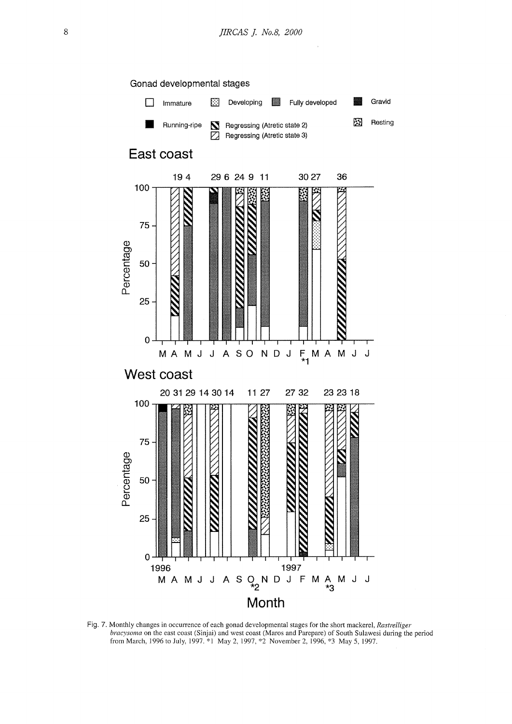![](_page_7_Figure_1.jpeg)

Fig. 7. Monthly changes in occurrence of each gonad developmental stages for the short mackerel, *Rastrelliger bracysoma* on the east coast (Sinjai) and west coast (Maros and Parepare) of South Sulawesi during the period from March, 1996 to July, 1997. \*1 May 2, 1997, \*2 November 2, 1996, \*3 May 5, 1997.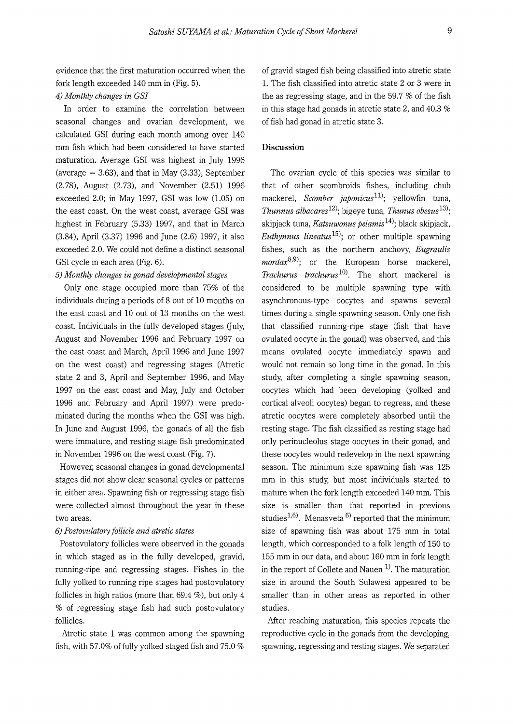evidence that the first maturation occurred when the fork length exceeded 140 mm in (Fig. 5).

## *4) Monthly changes in GS!*

In order to examine the correlation between seasonal changes and ovarian development, we calculated GSI during each month among over 140 mm fish which had been considered to have started maturation. Average GSI was highest in July 1996 (average  $= 3.63$ ), and that in May  $(3.33)$ , September (2.78), August (2.73), and November (2.51) 1996 exceeded 2.0; in May 1997, GSI was low (1.05) on the east coast. On the west coast, average GSI was highest in February (5.33) 1997, and that in March (3.84), April (3.37) 1996 and June (2.6) 1997, it also exceeded 2.0. We could not define a distinct seasonal GSI cycle in each area (Fig. 6).

## *5) Monthly changes in gonad developmental stages*

Only one stage occupied more than 75% of the individuals during a periods of 8 out of 10 months on the east coast and 10 out of 13 months on the west coast. Individuals in the fully developed stages (July, August and November 1996 and February 1997 on the east coast and March, April 1996 and June 1997 on the west coast) and regressing stages (Atretic state 2 and 3, April and September 1996, and May 1997 on the east coast and May, July and October 1996 and February and April 1997) were predominated during the months when the GSI was high. In June and August 1996, the gonads of all the fish were immature, and resting stage fish predominated in November 1996 on the west coast (Fig. 7).

However, seasonal changes in gonad developmental stages did not show clear seasonal cycles or patterns in either area. Spawning fish or regressing stage fish were collected almost throughout the year in these two areas.

#### *6) Postovulatory follicle and atretic states*

Postovulatory follicles were observed in the gonads in which staged as in the fully developed, gravid, running-ripe and regressing stages. Fishes in the fully yolked to running ripe stages had postovulatory follicles in high ratios (more than 69.4 %), but only 4 % of regressing stage fish had such postovulatory follicles.

Atretic state 1 was common among the spawning fish, with 57.0% of fully yolked staged fish and 75.0 % of gravid staged fish being classified into atretic state 1. The fish classified into atretic state 2 or 3 were in the as regressing stage, and in the 59.7 % of the fish in this stage had gonads in atretic state 2, and 40.3 % of fish had gonad in atretic state 3.

# **Discussion**

The ovarian cycle of this species was similar to that of other scombroids fishes, including chub mackerel, *Scomber japonicus*<sup>11</sup>; vellowfin tuna, *Thunnus albacares*<sup>12</sup>; bigeye tuna, *Thunus obesus*<sup>13</sup>; skipjack tuna, *Katsuwonus pelamis 14l;* black skipjack, *Euthynnus lineatus 15l;* or other multiple spawning fishes, such as the northern anchovy, *Eugraulis mordax*<sup>8,9)</sup>; or the European horse mackerel, *Trachurus trachurus*<sup>10</sup>*l.* The short mackerel is considered to be multiple spawning type with asynchronous-type oocytes and spawns several times during a single spawning season. Only one fish that classified running-ripe stage (fish that have ovulated oocyte in the gonad) was observed, and this means ovulated oocyte immediately spawn and would not remain so long time in the gonad. In this study, after completing a single spawning season, oocytes which had been developing (yolked and cortical alveoli oocytes) began to regress, and these atretic oocytes were completely absorbed until the resting stage. The fish classified as resting stage had only perinucleolus stage oocytes in their gonad, and these oocytes would redevelop in the next spawning season. The minimum size spawning fish was 125 mm in this study, but most individuals started to mature when the fork length exceeded 140 mm. This size is smaller than that reported in previous studies<sup>1,6)</sup>. Menasveta <sup>6)</sup> reported that the minimum size of spawning fish was about 175 mm in total length, which corresponded to a folk length of 150 to 155 mm in our data, and about 160 mm in fork length in the report of Collete and Nauen<sup>1</sup>. The maturation size in around the South Sulawesi appeared to be smaller than in other areas as reported in other studies.

After reaching maturation, this species repeats the reproductive cycle in the gonads from the developing, spawning, regressing and resting stages. We separated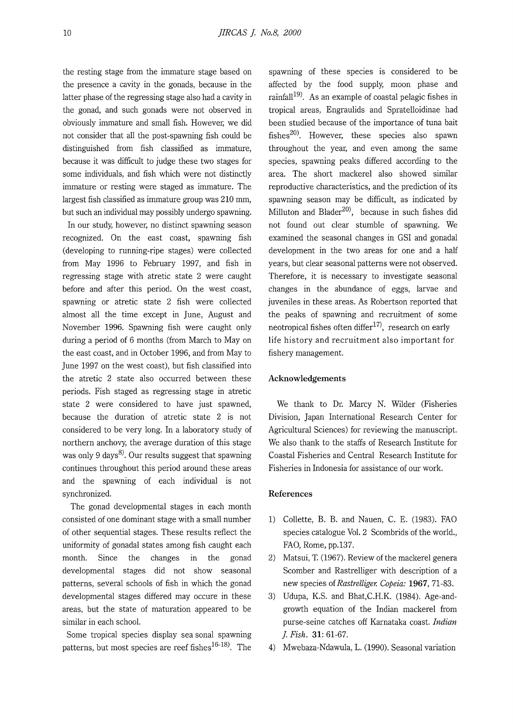the resting stage from the immature stage based on the presence a cavity in the gonads, because in the latter phase of the regressing stage also had a cavity in the gonad, and such gonads were not observed in obviously immature and small fish. However, we did not consider that all the post-spawning fish could be distinguished from fish classified as immature, because it was difficult to judge these two stages for some individuals, and fish which were not distinctly immature or resting were staged as immature. The largest fish classified as immature group was 210 mm, but such an individual may possibly undergo spawning.

In our study, however, no distinct spawning season recognized. On the east coast, spawning fish (developing to running-ripe stages) were collected from May 1996 to February 1997, and fish in regressing stage with atretic state 2 were caught before and after this period. On the west coast, spawning or atretic state 2 fish were collected almost all the time except in June, August and November 1996. Spawning fish were caught only during a period of 6 months (from March to May on the east coast, and in October 1996, and from May to June 1997 on the west coast), but fish classified into the atretic 2 state also occurred between these periods. Fish staged as regressing stage in atretic state 2 were considered to have just spawned, because the duration of atretic state 2 is not considered to be very long. In a laboratory study of northern anchovy, the average duration of this stage was only 9 days<sup>8)</sup>. Our results suggest that spawning continues throughout this period around these areas and the spawning of each individual is not synchronized.

The gonad developmental stages in each month consisted of one dominant stage with a small number of other sequential stages. These results reflect the uniformity of gonadal states among fish caught each month. Since the changes in the gonad developmental stages did not show seasonal patterns, several schools of fish in which the gonad developmental stages differed may occure in these areas, but the state of maturation appeared to be similar in each school.

Some tropical species display sea sonal spawning patterns, but most species are reef fishes $^{16\text{-}18)}$ . The

spawning of these species is considered to be affected by the food supply, moon phase and rainfall<sup>19)</sup>. As an example of coastal pelagic fishes in tropical areas, Engraulids and Spratelloidinae had been studied because of the importance of tuna bait fishes<sup>20)</sup>. However, these species also spawn throughout the year, and even among the same species, spawning peaks differed according to the area. The short mackerel also showed similar reproductive characteristics, and the prediction of its spawning season may be difficult, as indicated by Milluton and Blader<sup>20)</sup>, because in such fishes did not found out clear stumble of spawning. We examined the seasonal changes in GSI and gonadal development in the two areas for one and a half years, but clear seasonal patterns were not observed. Therefore, it is necessary to investigate seasonal changes in the abundance of eggs, larvae and juveniles in these areas. As Robertson reported that the peaks of spawning and recruitment of some neotropical fishes often differ<sup>17)</sup>, research on early life history and recruitment also important for fishery management.

#### **Acknowledgements**

We thank to Dr. Marcy N. Wilder (Fisheries Division, Japan International Research Center for Agricultural Sciences) for reviewing the manuscript. We also thank to the staffs of Research Institute for Coastal Fisheries and Central Research Institute for Fisheries in Indonesia for assistance of our work.

## **References**

- 1) Collette, B. B. and Nauen, C. E. (1983). FAO species catalogue Vol. 2 Scombrids of the world., FAO, Rome, pp.137.
- 2) Matsui, T. (1967). Review of the mackerel genera Scomber and Rastrelliger with description of a new species *ofRastrelliger. Copeia:* **1967,** 71-83.
- 3) Udupa, K.S. and Bhat,C.H.K. (1984). Age-andgrowth equation of the Indian mackerel from purse-seine catches off Karnataka coast. *Indian ]. Fish.* **31:** 61-67.
- 4) Mwebaza-Ndawula, L. (1990). Seasonal variation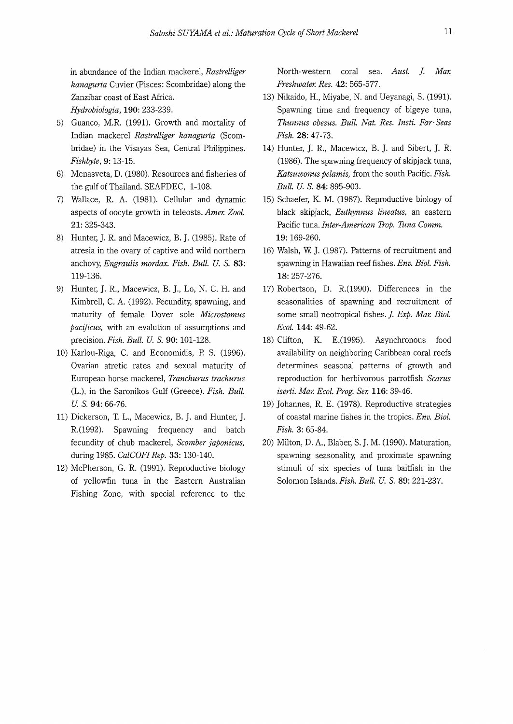in abundance of the Indian mackerel, *Rastrelliger kanagurta* Cuvier (Pisces: Scombridae) along the Zanzibar coast of East Africa. *Hydrobiologia,* **190:** 233-239.

- 5) Guanco, M.R. (1991). Growth and mortality of Indian mackerel *Rastrelliger kanagurta* (Scombridae) in the Visayas Sea, Central Philippines. *Fishbyte,* **9:** 13-15.
- 6) Menasveta, D. (1980). Resources and fisheries of the gulf of Thailand. SEAFDEC, 1-108.
- 7) Wallace, R. A. (1981). Cellular and dynamic aspects of oocyte growth in teleosts. *Amer. Zoo!.*  **21:** 325-343.
- 8) Hunter, **J.** R. and Macewicz, B. J. (1985). Rate of atresia in the ovary of captive and wild northern anchovy, *Engraulis mordax. Fish. Bull. U. S.* **83:**  119-136.
- 9) Hunter, **J.** R., Macewicz, B. **J.,** Lo, N. C. H. and Kimbrell, C. A. (1992). Fecundity, spawning, and maturity of female Dover sole *Microstomus pacificus,* with an evalution of assumptions and precision.Fish. *Bull. U.S.* **90:** 101-128.
- 10) Karlou-Riga, C. and Economidis, P. S. (1996). Ovarian atretic rates and sexual maturity of European horse mackerel, *Tranchurus trachurus*  (L.), in the Saronikos Gulf (Greece). *Fish. Bull. U. s.* **94:** 66-76.
- 11) Dickerson, T. L., Macewicz, B. J. and Hunter, J. R.(1992). Spawning frequency and batch fecundity of chub mackerel, *Scomber japonicus,*  during 1985. *CalCOFI Rep.* **33:** 130-140.
- 12) McPherson, G. R. (1991). Reproductive biology of yellowfin tuna in the Eastern Australian Fishing Zone, with special reference to the

North-western coral sea. *Aust. ]. Mar. Freshwater. Res.* **42:** 565-577.

- 13) Nikaido, H., Miyabe, N. and Ueyanagi, S. (1991). Spawning time and frequency of bigeye tuna, *Thunnus obesus. Bull. Nat. Res. Insti. Far·Seas Fish.* **28:** 47-73.
- 14) Hunter, **J.** R., Macewicz, B. J. and Sibert, J. R. (1986). The spawning frequency of skipjack tuna, *Katsuwonus pelamis,* from the south Pacific. *Fish. Bull. U. S.* **84:** 895-903.
- 15) Schaefer, K. M. (1987). Reproductive biology of black skipjack, *Euthynnus lineatus,* an eastern Pacific tuna. *Inter-American Trop. Tuna Comm.* **19:** 169-260.
- 16) Walsh, W. J. (1987). Patterns of recruitment and spawning in Hawaiian reef fishes. *Env. Biol. Fish.*  **18:** 257-276.
- 17) Robertson, D. R.(1990). Differences in the seasonalities of spawning and recruitment of some small neotropical fishes. *]. Exp. Mar. Biol. Ecol.* **144:** 49-62.
- 18) Clifton, K. E.(1995). Asynchronous food availability on neighboring Caribbean coral reefs determines seasonal patterns of growth and reproduction for herbivorous parrotfish *Scarus iserti. Mar. Ecol. Frog. Ser.* **116:** 39-46.
- 19) Johannes, R. E. (1978). Reproductive strategies of coastal marine fishes in the tropics. *Env. Biol. Fish.* **3:** 65-84.
- 20) Milton, D. A., Blaber, S. J.M. (1990). Maturation, spawning seasonality, and proximate spawning stimuli of six species of tuna baitfish in the Solomon Islands. *Fish. Bull. U. S.* **89:** 221-237.